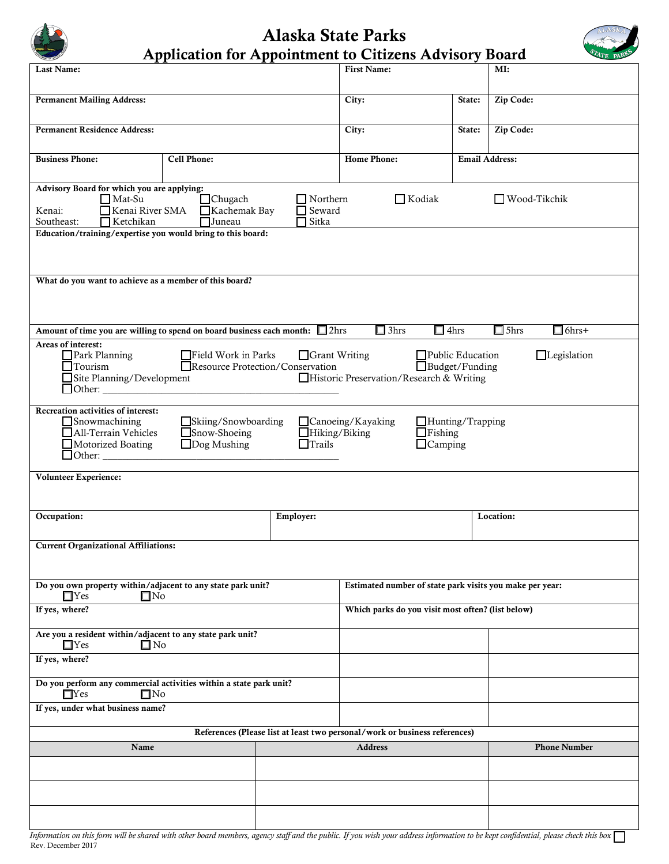## Alaska State Parks



| <b>Application for Appointment to Citizens Advisory Board</b> |  |  |  |
|---------------------------------------------------------------|--|--|--|

| Last Name:                                                                                                                                                                                                                                                                                               |                                                        |                                                  | <b>First Name:</b>                                                         |        | MI:                         |
|----------------------------------------------------------------------------------------------------------------------------------------------------------------------------------------------------------------------------------------------------------------------------------------------------------|--------------------------------------------------------|--------------------------------------------------|----------------------------------------------------------------------------|--------|-----------------------------|
| <b>Permanent Mailing Address:</b>                                                                                                                                                                                                                                                                        |                                                        |                                                  | City:                                                                      | State: | Zip Code:                   |
| <b>Permanent Residence Address:</b>                                                                                                                                                                                                                                                                      |                                                        |                                                  | City:                                                                      | State: | Zip Code:                   |
| <b>Business Phone:</b>                                                                                                                                                                                                                                                                                   | Cell Phone:                                            |                                                  | <b>Email Address:</b><br><b>Home Phone:</b>                                |        |                             |
| Advisory Board for which you are applying:<br>$\Box$ Mat-Su<br>Kenai River SMA<br>Kenai:<br>$\Box$ Ketchikan<br>Southeast:<br>Education/training/expertise you would bring to this board:                                                                                                                | $\Box$ Chugach<br>$\Box$ Kachemak Bay<br>$\Box$ Juneau | $\Box$ Northern<br>$\Box$ Seward<br>$\Box$ Sitka | $\Box$ Kodiak                                                              |        | Wood-Tikchik                |
|                                                                                                                                                                                                                                                                                                          |                                                        |                                                  |                                                                            |        |                             |
| What do you want to achieve as a member of this board?                                                                                                                                                                                                                                                   |                                                        |                                                  |                                                                            |        |                             |
| Amount of time you are willing to spend on board business each month: 2hrs                                                                                                                                                                                                                               |                                                        |                                                  | $\Box$ 4hrs<br>$\Box$ 3hrs                                                 |        | $\Box$ 5hrs<br>$\Box$ 6hrs+ |
| Areas of interest:<br>Park Planning<br>$\Box$ Field Work in Parks<br>Grant Writing<br>$\Box$ Public Education<br>$\Box$ Legislation<br>Resource Protection/Conservation<br>$\Box$ Budget/Funding<br>$\Box$ Tourism<br>Site Planning/Development<br>Historic Preservation/Research & Writing              |                                                        |                                                  |                                                                            |        |                             |
| Recreation activities of interest:<br>$\Box$ Snowmachining<br>Skiing/Snowboarding<br>$\Box$ Canoeing/Kayaking<br>$\Box$ Hunting/Trapping<br>All-Terrain Vehicles<br>$\Box$ Snow-Shoeing<br>Hiking/Biking<br>$\Box$ Fishing<br>$\Box$ Dog Mushing<br>$\Box$ Trails<br>$\Box$ Camping<br>Motorized Boating |                                                        |                                                  |                                                                            |        |                             |
| Volunteer Experience:                                                                                                                                                                                                                                                                                    |                                                        |                                                  |                                                                            |        |                             |
| Occupation:                                                                                                                                                                                                                                                                                              |                                                        | Employer:                                        |                                                                            |        | Location:                   |
| <b>Current Organizational Affiliations:</b>                                                                                                                                                                                                                                                              |                                                        |                                                  |                                                                            |        |                             |
| Do you own property within/adjacent to any state park unit?<br>Estimated number of state park visits you make per year:<br>$\Box$ Yes<br>$\square$ No                                                                                                                                                    |                                                        |                                                  |                                                                            |        |                             |
| If yes, where?                                                                                                                                                                                                                                                                                           |                                                        |                                                  | Which parks do you visit most often? (list below)                          |        |                             |
| Are you a resident within/adjacent to any state park unit?<br>$\square$ No<br>$\square$ Yes                                                                                                                                                                                                              |                                                        |                                                  |                                                                            |        |                             |
| If yes, where?                                                                                                                                                                                                                                                                                           |                                                        |                                                  |                                                                            |        |                             |
| Do you perform any commercial activities within a state park unit?<br>$\Box$ Yes<br>$\square$ No                                                                                                                                                                                                         |                                                        |                                                  |                                                                            |        |                             |
| If yes, under what business name?                                                                                                                                                                                                                                                                        |                                                        |                                                  |                                                                            |        |                             |
|                                                                                                                                                                                                                                                                                                          |                                                        |                                                  | References (Please list at least two personal/work or business references) |        |                             |
| Name                                                                                                                                                                                                                                                                                                     |                                                        |                                                  | <b>Address</b>                                                             |        | <b>Phone Number</b>         |
|                                                                                                                                                                                                                                                                                                          |                                                        |                                                  |                                                                            |        |                             |
|                                                                                                                                                                                                                                                                                                          |                                                        |                                                  |                                                                            |        |                             |
|                                                                                                                                                                                                                                                                                                          |                                                        |                                                  |                                                                            |        |                             |

*Information on this form will be shared with other board members, agency staff and the public. If you wish your address information to be kept confidential, please check this box*  Rev. December 2017